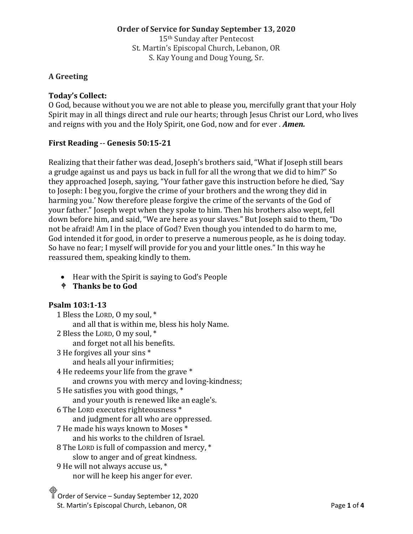## **Order of Service for Sunday September 13, 2020**

15th Sunday after Pentecost St. Martin's Episcopal Church, Lebanon, OR S. Kay Young and Doug Young, Sr.

## **A Greeting**

## **Today's Collect:**

O God, because without you we are not able to please you, mercifully grant that your Holy Spirit may in all things direct and rule our hearts; through Jesus Christ our Lord, who lives and reigns with you and the Holy Spirit, one God, now and for ever *. Amen.*

## **First Reading** -- **Genesis 50:15-21**

Realizing that their father was dead, Joseph's brothers said, "What if Joseph still bears a grudge against us and pays us back in full for all the wrong that we did to him?" So they approached Joseph, saying, "Your father gave this instruction before he died, 'Say to Joseph: I beg you, forgive the crime of your brothers and the wrong they did in harming you.' Now therefore please forgive the crime of the servants of the God of your father." Joseph wept when they spoke to him. Then his brothers also wept, fell down before him, and said, "We are here as your slaves." But Joseph said to them, "Do not be afraid! Am I in the place of God? Even though you intended to do harm to me, God intended it for good, in order to preserve a numerous people, as he is doing today. So have no fear; I myself will provide for you and your little ones." In this way he reassured them, speaking kindly to them.

• Hear with the Spirit is saying to God's People

**Thanks be to God** 

## **Psalm 103:1-13**

1 Bless the LORD, O my soul, \* and all that is within me, bless his holy Name. 2 Bless the LORD, O my soul, \* and forget not all his benefits. 3 He forgives all your sins \* and heals all your infirmities; 4 He redeems your life from the grave \* and crowns you with mercy and loving-kindness; 5 He satisfies you with good things, \* and your youth is renewed like an eagle's. 6 The LORD executes righteousness \* and judgment for all who are oppressed. 7 He made his ways known to Moses \* and his works to the children of Israel. 8 The LORD is full of compassion and mercy, \* slow to anger and of great kindness. 9 He will not always accuse us, \* nor will he keep his anger for ever.

Order of Service – Sunday September 12, 2020 St. Martin's Episcopal Church, Lebanon, OR **Page 1** of 4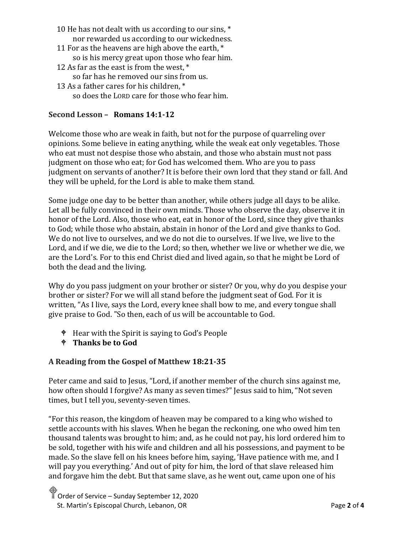- 10 He has not dealt with us according to our sins, \* nor rewarded us according to our wickedness.
- 11 For as the heavens are high above the earth,  $*$ so is his mercy great upon those who fear him.
- 12 As far as the east is from the west,  $*$ so far has he removed our sins from us.
- 13 As a father cares for his children, \* so does the LORD care for those who fear him.

# **Second Lesson – Romans 14:1-12**

Welcome those who are weak in faith, but not for the purpose of quarreling over opinions. Some believe in eating anything, while the weak eat only vegetables. Those who eat must not despise those who abstain, and those who abstain must not pass judgment on those who eat; for God has welcomed them. Who are you to pass judgment on servants of another? It is before their own lord that they stand or fall. And they will be upheld, for the Lord is able to make them stand.

Some judge one day to be better than another, while others judge all days to be alike. Let all be fully convinced in their own minds. Those who observe the day, observe it in honor of the Lord. Also, those who eat, eat in honor of the Lord, since they give thanks to God; while those who abstain, abstain in honor of the Lord and give thanks to God. We do not live to ourselves, and we do not die to ourselves. If we live, we live to the Lord, and if we die, we die to the Lord; so then, whether we live or whether we die, we are the Lord's. For to this end Christ died and lived again, so that he might be Lord of both the dead and the living.

Why do you pass judgment on your brother or sister? Or you, why do you despise your brother or sister? For we will all stand before the judgment seat of God. For it is written, "As I live, says the Lord, every knee shall bow to me, and every tongue shall give praise to God. "So then, each of us will be accountable to God.

- Hear with the Spirit is saying to God's People
- **Thanks be to God**

# **A Reading from the Gospel of Matthew 18:21-35**

Peter came and said to Jesus, "Lord, if another member of the church sins against me, how often should I forgive? As many as seven times?" Jesus said to him, "Not seven times, but I tell you, seventy-seven times.

"For this reason, the kingdom of heaven may be compared to a king who wished to settle accounts with his slaves. When he began the reckoning, one who owed him ten thousand talents was brought to him; and, as he could not pay, his lord ordered him to be sold, together with his wife and children and all his possessions, and payment to be made. So the slave fell on his knees before him, saying, 'Have patience with me, and I will pay you everything.' And out of pity for him, the lord of that slave released him and forgave him the debt. But that same slave, as he went out, came upon one of his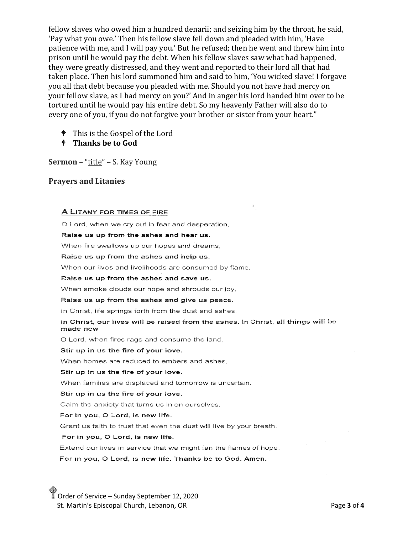fellow slaves who owed him a hundred denarii; and seizing him by the throat, he said, 'Pay what you owe.' Then his fellow slave fell down and pleaded with him, 'Have patience with me, and I will pay you.' But he refused; then he went and threw him into prison until he would pay the debt. When his fellow slaves saw what had happened, they were greatly distressed, and they went and reported to their lord all that had taken place. Then his lord summoned him and said to him, 'You wicked slave! I forgave you all that debt because you pleaded with me. Should you not have had mercy on your fellow slave, as I had mercy on you?' And in anger his lord handed him over to be tortured until he would pay his entire debt. So my heavenly Father will also do to every one of you, if you do not forgive your brother or sister from your heart."

<sup> $\bullet$ </sup> This is the Gospel of the Lord

 $\bullet$  Thanks be to God

**Sermon** - "title" - S. Kay Young

### **Prayers and Litanies**

### A LITANY FOR TIMES OF FIRE

O Lord, when we cry out in fear and desperation.

#### Raise us up from the ashes and hear us.

When fire swallows up our hopes and dreams,

#### Raise us up from the ashes and help us.

When our lives and livelihoods are consumed by flame.

#### Raise us up from the ashes and save us.

When smoke clouds our hope and shrouds our joy,

#### Raise us up from the ashes and give us peace.

In Christ, life springs forth from the dust and ashes.

in Christ, our lives will be raised from the ashes. In Christ, all things will be made new

O Lord, when fires rage and consume the land,

#### Stir up in us the fire of your love.

When homes are reduced to embers and ashes.

#### Stir up in us the fire of your love.

When families are displaced and tomorrow is uncertain.

#### Stir up in us the fire of your love.

Calm the anxiety that turns us in on ourselves.

#### For in you, O Lord, is new life.

Grant us faith to trust that even the dust will live by your breath.

#### For in you, O Lord, is new life.

Extend our lives in service that we might fan the flames of hope.

For in you, O Lord, is new life. Thanks be to God. Amen.

Order of Service – Sunday September 12, 2020 St. Martin's Episcopal Church, Lebanon, OR